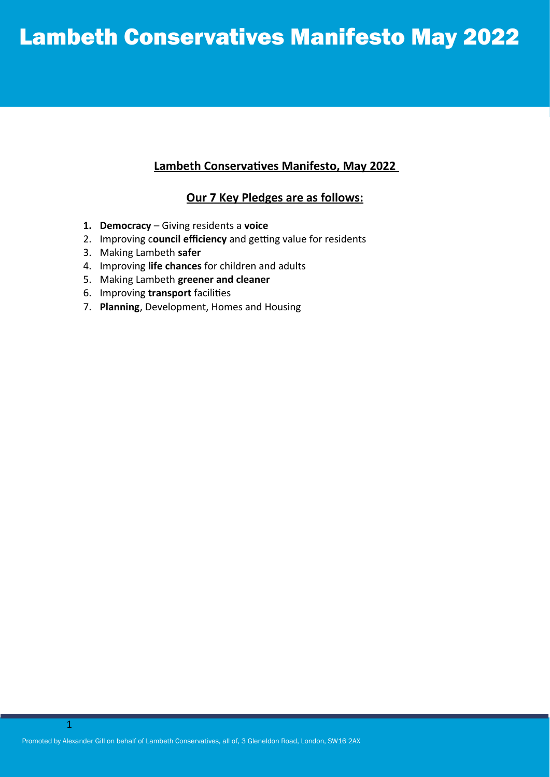# Lambeth Conservatives Manifesto May 2022

### **Lambeth Conservatives Manifesto, May 2022**

#### **Our 7 Key Pledges are as follows:**

- **1. Democracy** Giving residents a **voice**
- 2. Improving c**ouncil efficiency** and getting value for residents
- 3. Making Lambeth **safer**
- 4. Improving **life chances** for children and adults
- 5. Making Lambeth **greener and cleaner**
- 6. Improving **transport** facilities
- 7. **Planning**, Development, Homes and Housing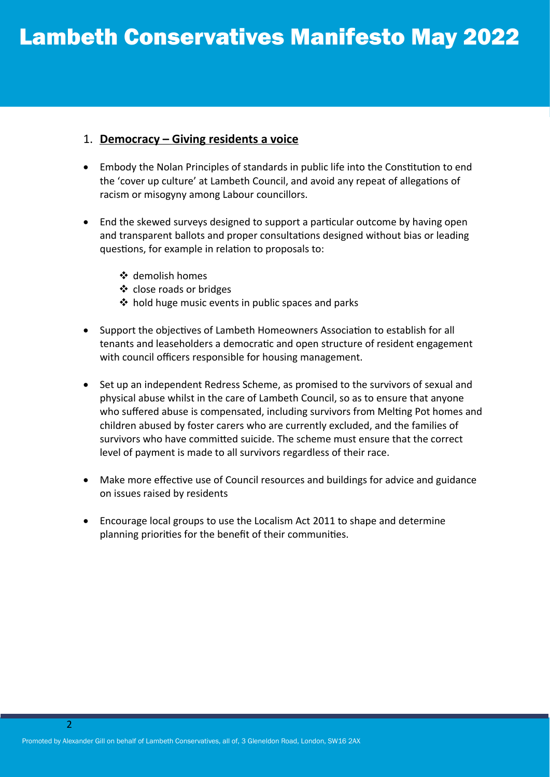#### 1. **Democracy – Giving residents a voice**

- Embody the Nolan Principles of standards in public life into the Constitution to end the 'cover up culture' at Lambeth Council, and avoid any repeat of allegations of racism or misogyny among Labour councillors.
- End the skewed surveys designed to support a particular outcome by having open and transparent ballots and proper consultations designed without bias or leading questions, for example in relation to proposals to:
	- demolish homes
	- ❖ close roads or bridges
	- $\triangleq$  hold huge music events in public spaces and parks
- Support the objectives of Lambeth Homeowners Association to establish for all tenants and leaseholders a democratic and open structure of resident engagement with council officers responsible for housing management.
- Set up an independent Redress Scheme, as promised to the survivors of sexual and physical abuse whilst in the care of Lambeth Council, so as to ensure that anyone who suffered abuse is compensated, including survivors from Melting Pot homes and children abused by foster carers who are currently excluded, and the families of survivors who have committed suicide. The scheme must ensure that the correct level of payment is made to all survivors regardless of their race.
- Make more effective use of Council resources and buildings for advice and guidance on issues raised by residents
- Encourage local groups to use the Localism Act 2011 to shape and determine planning priorities for the benefit of their communities.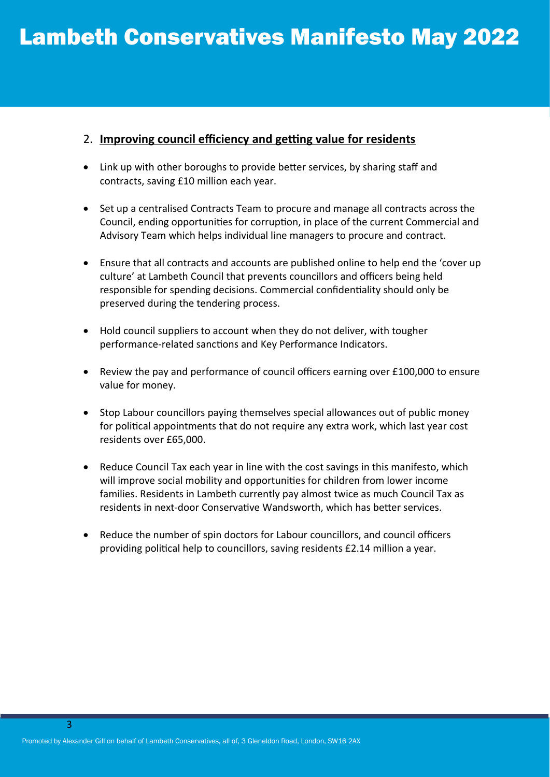#### 2. **Improving council efficiency and getting value for residents**

- Link up with other boroughs to provide better services, by sharing staff and contracts, saving £10 million each year.
- Set up a centralised Contracts Team to procure and manage all contracts across the Council, ending opportunities for corruption, in place of the current Commercial and Advisory Team which helps individual line managers to procure and contract.
- Ensure that all contracts and accounts are published online to help end the 'cover up culture' at Lambeth Council that prevents councillors and officers being held responsible for spending decisions. Commercial confidentiality should only be preserved during the tendering process.
- Hold council suppliers to account when they do not deliver, with tougher performance-related sanctions and Key Performance Indicators.
- Review the pay and performance of council officers earning over £100,000 to ensure value for money.
- Stop Labour councillors paying themselves special allowances out of public money for political appointments that do not require any extra work, which last year cost residents over £65,000.
- Reduce Council Tax each year in line with the cost savings in this manifesto, which will improve social mobility and opportunities for children from lower income families. Residents in Lambeth currently pay almost twice as much Council Tax as residents in next-door Conservative Wandsworth, which has better services.
- Reduce the number of spin doctors for Labour councillors, and council officers providing political help to councillors, saving residents £2.14 million a year.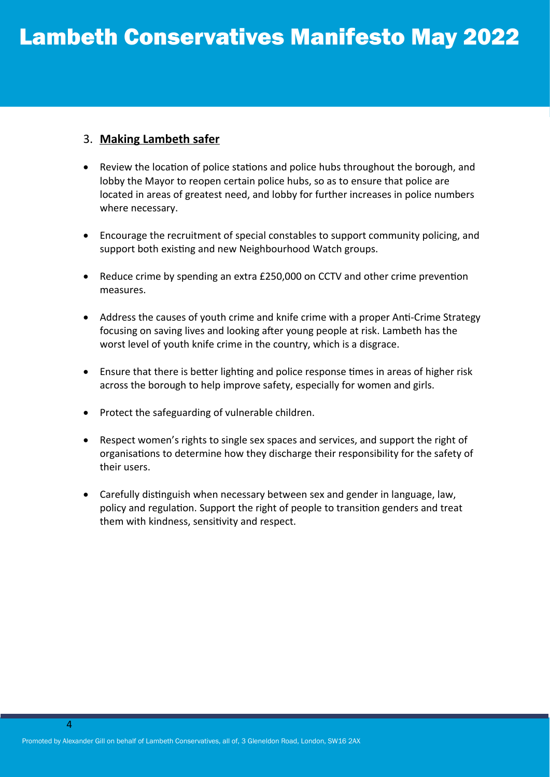### 3. **Making Lambeth safer**

- Review the location of police stations and police hubs throughout the borough, and lobby the Mayor to reopen certain police hubs, so as to ensure that police are located in areas of greatest need, and lobby for further increases in police numbers where necessary.
- Encourage the recruitment of special constables to support community policing, and support both existing and new Neighbourhood Watch groups.
- Reduce crime by spending an extra £250,000 on CCTV and other crime prevention measures.
- Address the causes of youth crime and knife crime with a proper Anti-Crime Strategy focusing on saving lives and looking after young people at risk. Lambeth has the worst level of youth knife crime in the country, which is a disgrace.
- Ensure that there is better lighting and police response times in areas of higher risk across the borough to help improve safety, especially for women and girls.
- Protect the safeguarding of vulnerable children.
- Respect women's rights to single sex spaces and services, and support the right of organisations to determine how they discharge their responsibility for the safety of their users.
- Carefully distinguish when necessary between sex and gender in language, law, policy and regulation. Support the right of people to transition genders and treat them with kindness, sensitivity and respect.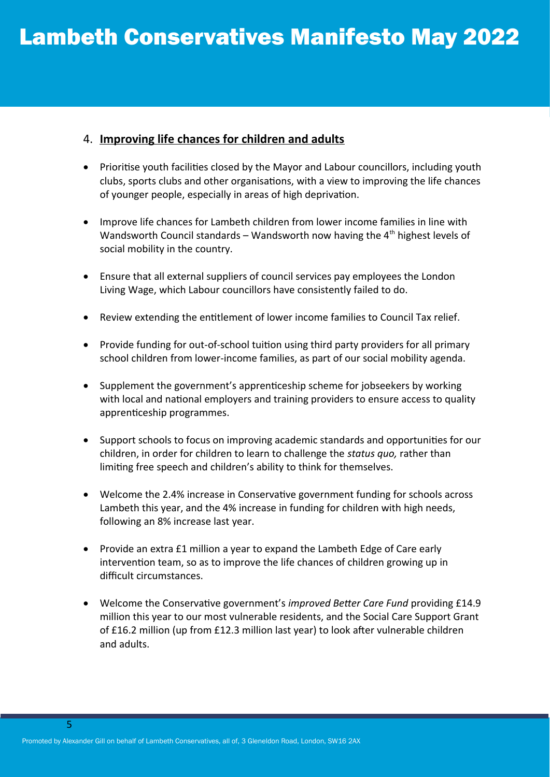# 4. **Improving life chances for children and adults**

- Prioritise youth facilities closed by the Mayor and Labour councillors, including youth clubs, sports clubs and other organisations, with a view to improving the life chances of younger people, especially in areas of high deprivation.
- Improve life chances for Lambeth children from lower income families in line with Wandsworth Council standards – Wandsworth now having the  $4<sup>th</sup>$  highest levels of social mobility in the country.
- Ensure that all external suppliers of council services pay employees the London Living Wage, which Labour councillors have consistently failed to do.
- Review extending the entitlement of lower income families to Council Tax relief.
- Provide funding for out-of-school tuition using third party providers for all primary school children from lower-income families, as part of our social mobility agenda.
- Supplement the government's apprenticeship scheme for jobseekers by working with local and national employers and training providers to ensure access to quality apprenticeship programmes.
- Support schools to focus on improving academic standards and opportunities for our children, in order for children to learn to challenge the *status quo,* rather than limiting free speech and children's ability to think for themselves.
- Welcome the 2.4% increase in Conservative government funding for schools across Lambeth this year, and the 4% increase in funding for children with high needs, following an 8% increase last year.
- Provide an extra £1 million a year to expand the Lambeth Edge of Care early intervention team, so as to improve the life chances of children growing up in difficult circumstances.
- Welcome the Conservative government's *improved Better Care Fund* providing £14.9 million this year to our most vulnerable residents, and the Social Care Support Grant of £16.2 million (up from £12.3 million last year) to look after vulnerable children and adults.

5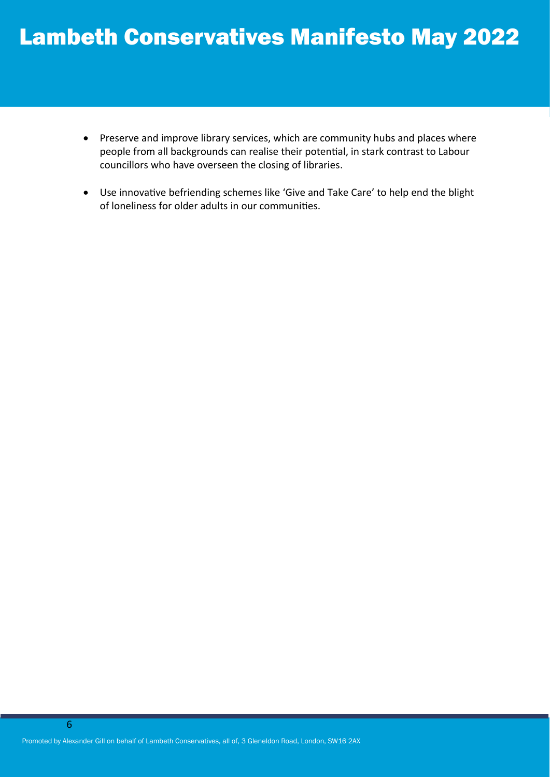- Preserve and improve library services, which are community hubs and places where people from all backgrounds can realise their potential, in stark contrast to Labour councillors who have overseen the closing of libraries.
- Use innovative befriending schemes like 'Give and Take Care' to help end the blight of loneliness for older adults in our communities.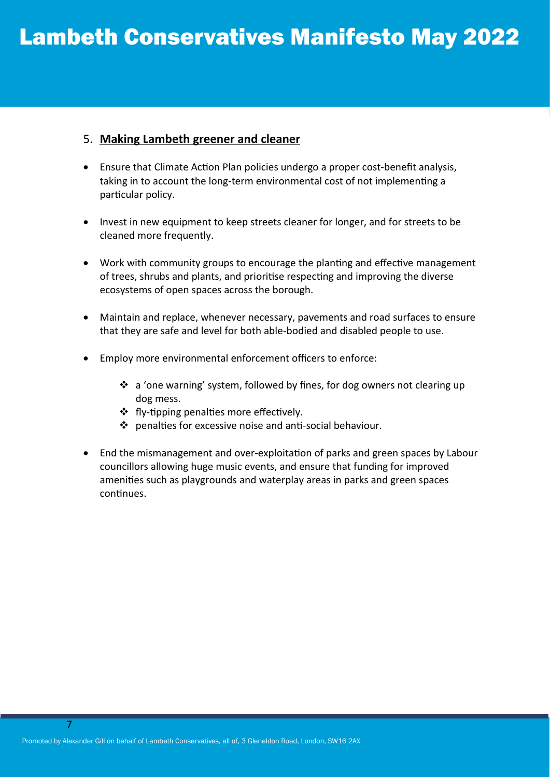#### 5. **Making Lambeth greener and cleaner**

- Ensure that Climate Action Plan policies undergo a proper cost-benefit analysis, taking in to account the long-term environmental cost of not implementing a particular policy.
- Invest in new equipment to keep streets cleaner for longer, and for streets to be cleaned more frequently.
- Work with community groups to encourage the planting and effective management of trees, shrubs and plants, and prioritise respecting and improving the diverse ecosystems of open spaces across the borough.
- Maintain and replace, whenever necessary, pavements and road surfaces to ensure that they are safe and level for both able-bodied and disabled people to use.
- Employ more environmental enforcement officers to enforce:
	- $\cdot$  a 'one warning' system, followed by fines, for dog owners not clearing up dog mess.
	- ❖ fly-tipping penalties more effectively.
	- penalties for excessive noise and anti-social behaviour.
- End the mismanagement and over-exploitation of parks and green spaces by Labour councillors allowing huge music events, and ensure that funding for improved amenities such as playgrounds and waterplay areas in parks and green spaces continues.

7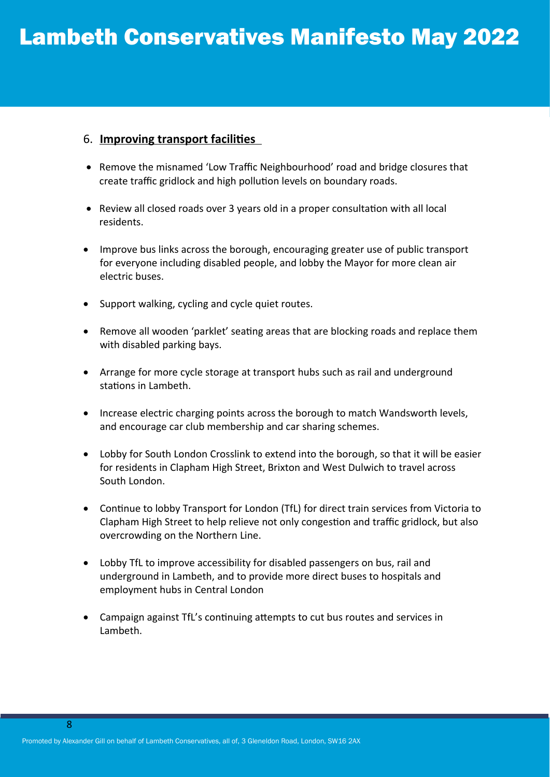#### 6. **Improving transport facilities**

- Remove the misnamed 'Low Traffic Neighbourhood' road and bridge closures that create traffic gridlock and high pollution levels on boundary roads.
- Review all closed roads over 3 years old in a proper consultation with all local residents.
- Improve bus links across the borough, encouraging greater use of public transport for everyone including disabled people, and lobby the Mayor for more clean air electric buses.
- Support walking, cycling and cycle quiet routes.
- Remove all wooden 'parklet' seating areas that are blocking roads and replace them with disabled parking bays.
- Arrange for more cycle storage at transport hubs such as rail and underground stations in Lambeth.
- Increase electric charging points across the borough to match Wandsworth levels, and encourage car club membership and car sharing schemes.
- Lobby for South London Crosslink to extend into the borough, so that it will be easier for residents in Clapham High Street, Brixton and West Dulwich to travel across South London.
- Continue to lobby Transport for London (TfL) for direct train services from Victoria to Clapham High Street to help relieve not only congestion and traffic gridlock, but also overcrowding on the Northern Line.
- Lobby TfL to improve accessibility for disabled passengers on bus, rail and underground in Lambeth, and to provide more direct buses to hospitals and employment hubs in Central London
- Campaign against TfL's continuing attempts to cut bus routes and services in Lambeth.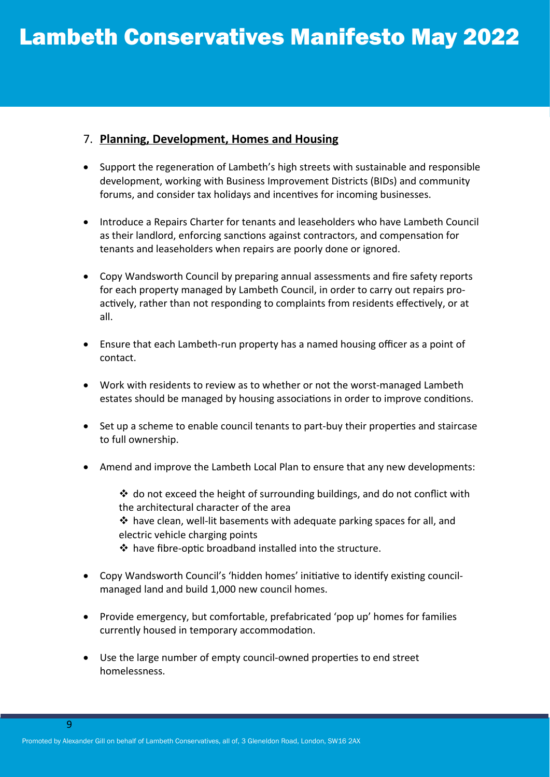# 7. **Planning, Development, Homes and Housing**

- Support the regeneration of Lambeth's high streets with sustainable and responsible development, working with Business Improvement Districts (BIDs) and community forums, and consider tax holidays and incentives for incoming businesses.
- Introduce a Repairs Charter for tenants and leaseholders who have Lambeth Council as their landlord, enforcing sanctions against contractors, and compensation for tenants and leaseholders when repairs are poorly done or ignored.
- Copy Wandsworth Council by preparing annual assessments and fire safety reports for each property managed by Lambeth Council, in order to carry out repairs proactively, rather than not responding to complaints from residents effectively, or at all.
- Ensure that each Lambeth-run property has a named housing officer as a point of contact.
- Work with residents to review as to whether or not the worst-managed Lambeth estates should be managed by housing associations in order to improve conditions.
- Set up a scheme to enable council tenants to part-buy their properties and staircase to full ownership.
- Amend and improve the Lambeth Local Plan to ensure that any new developments:
	- do not exceed the height of surrounding buildings, and do not conflict with the architectural character of the area have clean, well-lit basements with adequate parking spaces for all, and electric vehicle charging points have fibre-optic broadband installed into the structure.
	-
- Copy Wandsworth Council's 'hidden homes' initiative to identify existing councilmanaged land and build 1,000 new council homes.
- Provide emergency, but comfortable, prefabricated 'pop up' homes for families currently housed in temporary accommodation.
- Use the large number of empty council-owned properties to end street homelessness.